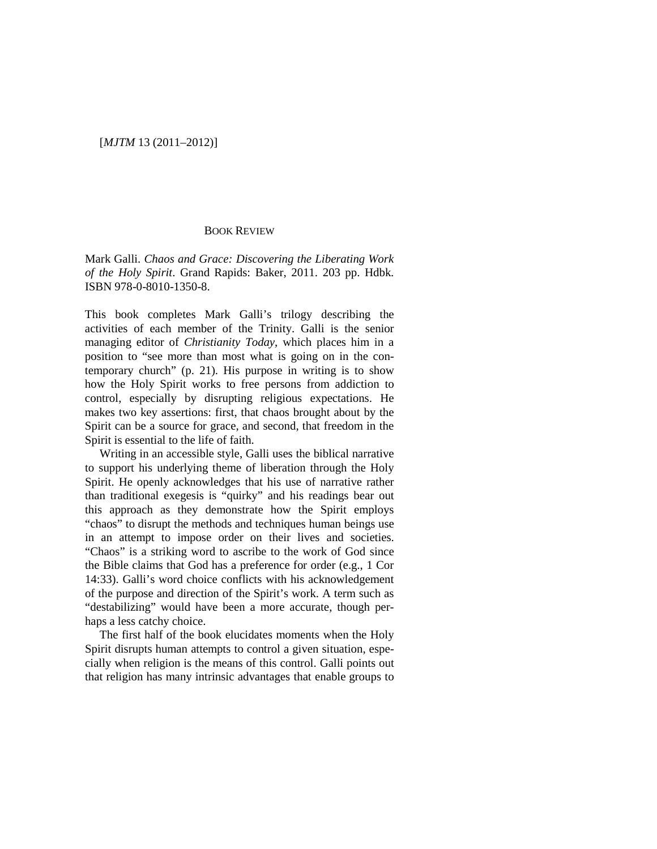## [*MJTM* 13 (2011–2012)]

## BOOK REVIEW

Mark Galli. *Chaos and Grace: Discovering the Liberating Work of the Holy Spirit*. Grand Rapids: Baker, 2011. 203 pp. Hdbk. ISBN 978-0-8010-1350-8.

This book completes Mark Galli's trilogy describing the activities of each member of the Trinity. Galli is the senior managing editor of *Christianity Today*, which places him in a position to "see more than most what is going on in the contemporary church" (p. 21). His purpose in writing is to show how the Holy Spirit works to free persons from addiction to control, especially by disrupting religious expectations. He makes two key assertions: first, that chaos brought about by the Spirit can be a source for grace, and second, that freedom in the Spirit is essential to the life of faith.

Writing in an accessible style, Galli uses the biblical narrative to support his underlying theme of liberation through the Holy Spirit. He openly acknowledges that his use of narrative rather than traditional exegesis is "quirky" and his readings bear out this approach as they demonstrate how the Spirit employs "chaos" to disrupt the methods and techniques human beings use in an attempt to impose order on their lives and societies. "Chaos" is a striking word to ascribe to the work of God since the Bible claims that God has a preference for order (e.g., 1 Cor 14:33). Galli's word choice conflicts with his acknowledgement of the purpose and direction of the Spirit's work. A term such as "destabilizing" would have been a more accurate, though perhaps a less catchy choice.

The first half of the book elucidates moments when the Holy Spirit disrupts human attempts to control a given situation, especially when religion is the means of this control. Galli points out that religion has many intrinsic advantages that enable groups to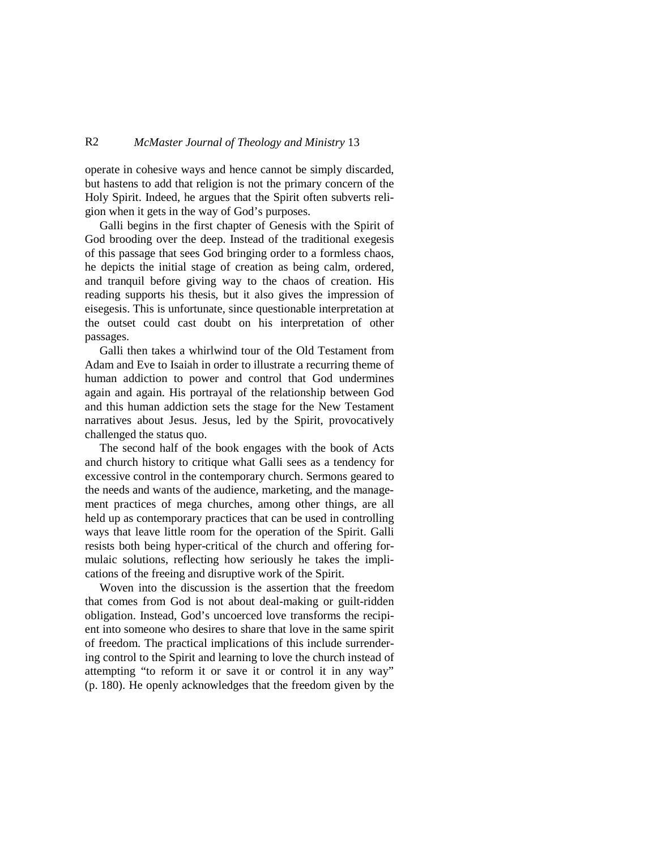## R2 *McMaster Journal of Theology and Ministry* 13

operate in cohesive ways and hence cannot be simply discarded, but hastens to add that religion is not the primary concern of the Holy Spirit. Indeed, he argues that the Spirit often subverts religion when it gets in the way of God's purposes.

Galli begins in the first chapter of Genesis with the Spirit of God brooding over the deep. Instead of the traditional exegesis of this passage that sees God bringing order to a formless chaos, he depicts the initial stage of creation as being calm, ordered, and tranquil before giving way to the chaos of creation. His reading supports his thesis, but it also gives the impression of eisegesis. This is unfortunate, since questionable interpretation at the outset could cast doubt on his interpretation of other passages.

Galli then takes a whirlwind tour of the Old Testament from Adam and Eve to Isaiah in order to illustrate a recurring theme of human addiction to power and control that God undermines again and again. His portrayal of the relationship between God and this human addiction sets the stage for the New Testament narratives about Jesus. Jesus, led by the Spirit, provocatively challenged the status quo.

The second half of the book engages with the book of Acts and church history to critique what Galli sees as a tendency for excessive control in the contemporary church. Sermons geared to the needs and wants of the audience, marketing, and the management practices of mega churches, among other things, are all held up as contemporary practices that can be used in controlling ways that leave little room for the operation of the Spirit. Galli resists both being hyper-critical of the church and offering formulaic solutions, reflecting how seriously he takes the implications of the freeing and disruptive work of the Spirit.

Woven into the discussion is the assertion that the freedom that comes from God is not about deal-making or guilt-ridden obligation. Instead, God's uncoerced love transforms the recipient into someone who desires to share that love in the same spirit of freedom. The practical implications of this include surrendering control to the Spirit and learning to love the church instead of attempting "to reform it or save it or control it in any way" (p. 180). He openly acknowledges that the freedom given by the